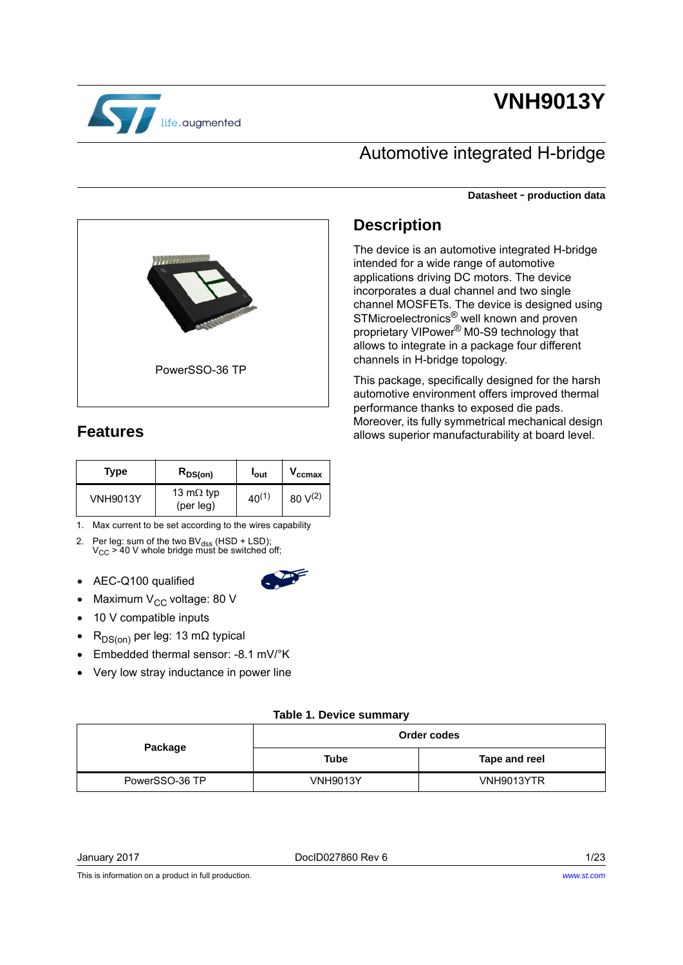

# **VNH9013Y**

## Automotive integrated H-bridge

The device is an automotive integrated H-bridge

This package, specifically designed for the harsh automotive environment offers improved thermal

Moreover, its fully symmetrical mechanical design allows superior manufacturability at board level.

performance thanks to exposed die pads.

intended for a wide range of automotive applications driving DC motors. The device incorporates a dual channel and two single channel MOSFETs. The device is designed using STMicroelectronics® well known and proven proprietary VIPower® M0-S9 technology that allows to integrate in a package four different

channels in H-bridge topology.

**Description**

**Datasheet** - **production data**



### <span id="page-0-1"></span>**Features**

| Type            | $R_{DS(on)}$                   | l <sub>out</sub> | $V_{\rm ccmax}$      |
|-----------------|--------------------------------|------------------|----------------------|
| <b>VNH9013Y</b> | 13 m $\Omega$ typ<br>(per leg) | $40^{(1)}$       | $80 \text{ V}^{(2)}$ |

1. Max current to be set according to the wires capability

- 2. Per leg: sum of the two BV $_{\text{dss}}$  (HSD + LSD);<br>V<sub>CC</sub> > 40 V whole bridge must be switched off;
- AEC-Q100 qualified
- 
- Maximum  $V_{CC}$  voltage: 80 V
- 10 V compatible inputs
- R<sub>DS(on)</sub> per leg: 13 mΩ typical
- Embedded thermal sensor: -8.1 mV/°K
- Very low stray inductance in power line

#### **Table 1. Device summary**

<span id="page-0-0"></span>

|                | Order codes     |               |  |
|----------------|-----------------|---------------|--|
| Package        | <b>Tube</b>     | Tape and reel |  |
| PowerSSO-36 TP | <b>VNH9013Y</b> | VNH9013YTR    |  |

January 2017 DocID027860 Rev 6 1/[23](#page-22-0)

This is information on a product in full production.

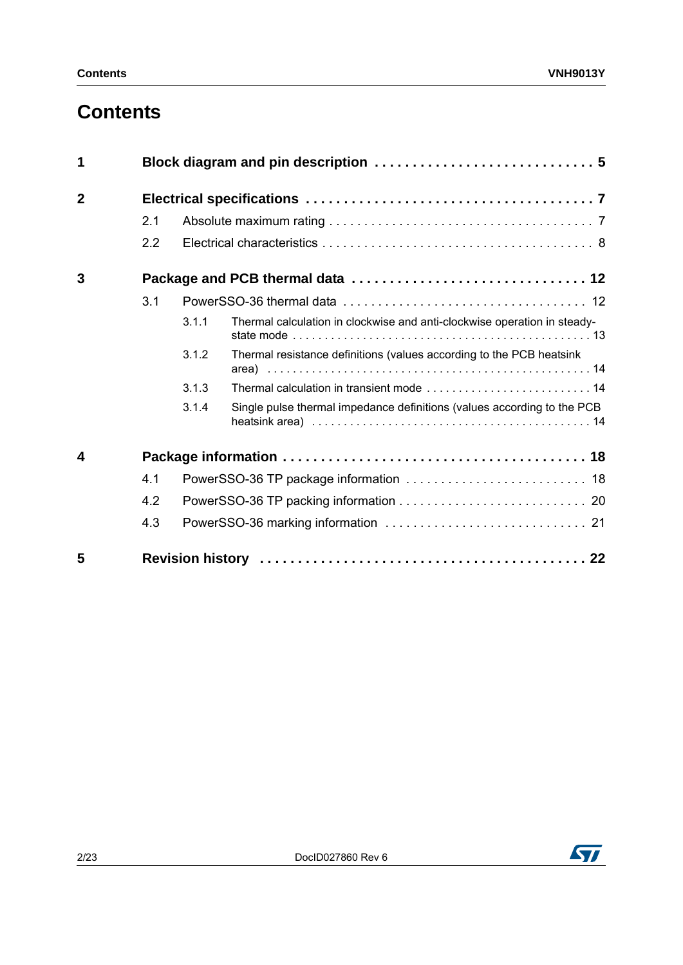## **Contents**

| 1              |     |       |                                                                          |
|----------------|-----|-------|--------------------------------------------------------------------------|
| $\overline{2}$ |     |       |                                                                          |
|                | 2.1 |       |                                                                          |
|                | 2.2 |       |                                                                          |
| 3              |     |       |                                                                          |
|                | 3.1 |       |                                                                          |
|                |     | 3.1.1 | Thermal calculation in clockwise and anti-clockwise operation in steady- |
|                |     | 3.1.2 | Thermal resistance definitions (values according to the PCB heatsink     |
|                |     | 3.1.3 |                                                                          |
|                |     | 3.1.4 | Single pulse thermal impedance definitions (values according to the PCB  |
| 4              |     |       |                                                                          |
|                | 4.1 |       |                                                                          |
|                | 4.2 |       |                                                                          |
|                | 4.3 |       |                                                                          |
| 5              |     |       |                                                                          |

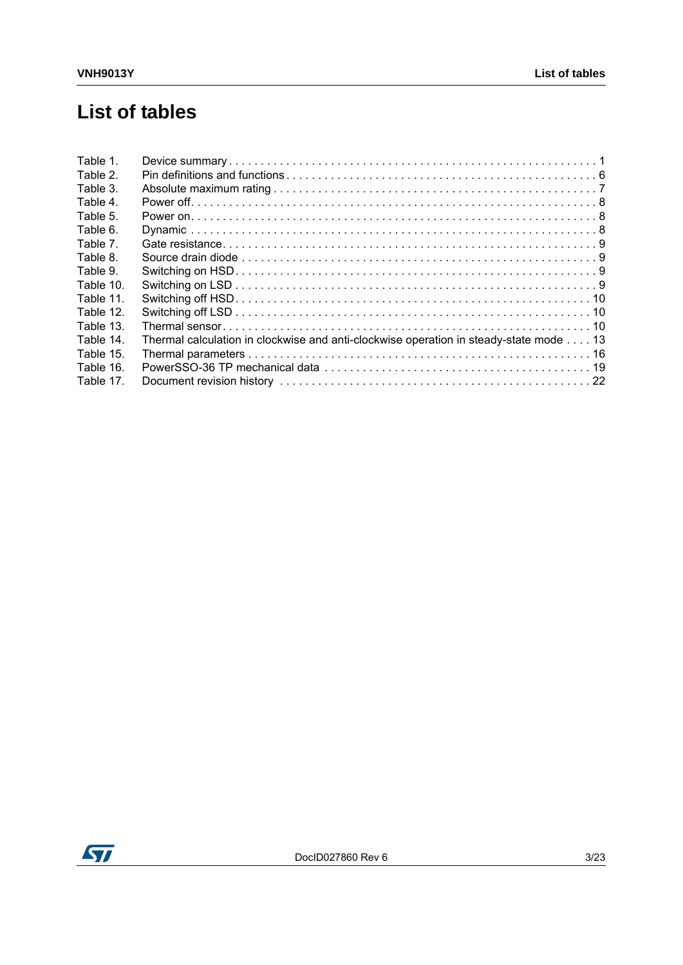## **List of tables**

| Table 1.  |                                                                                       |  |
|-----------|---------------------------------------------------------------------------------------|--|
| Table 2.  |                                                                                       |  |
| Table 3.  |                                                                                       |  |
| Table 4.  |                                                                                       |  |
| Table 5.  |                                                                                       |  |
| Table 6.  |                                                                                       |  |
| Table 7.  |                                                                                       |  |
| Table 8.  |                                                                                       |  |
| Table 9.  |                                                                                       |  |
| Table 10. |                                                                                       |  |
| Table 11. |                                                                                       |  |
| Table 12. |                                                                                       |  |
| Table 13. |                                                                                       |  |
| Table 14. | Thermal calculation in clockwise and anti-clockwise operation in steady-state mode 13 |  |
| Table 15. |                                                                                       |  |
| Table 16. |                                                                                       |  |
| Table 17. |                                                                                       |  |
|           |                                                                                       |  |

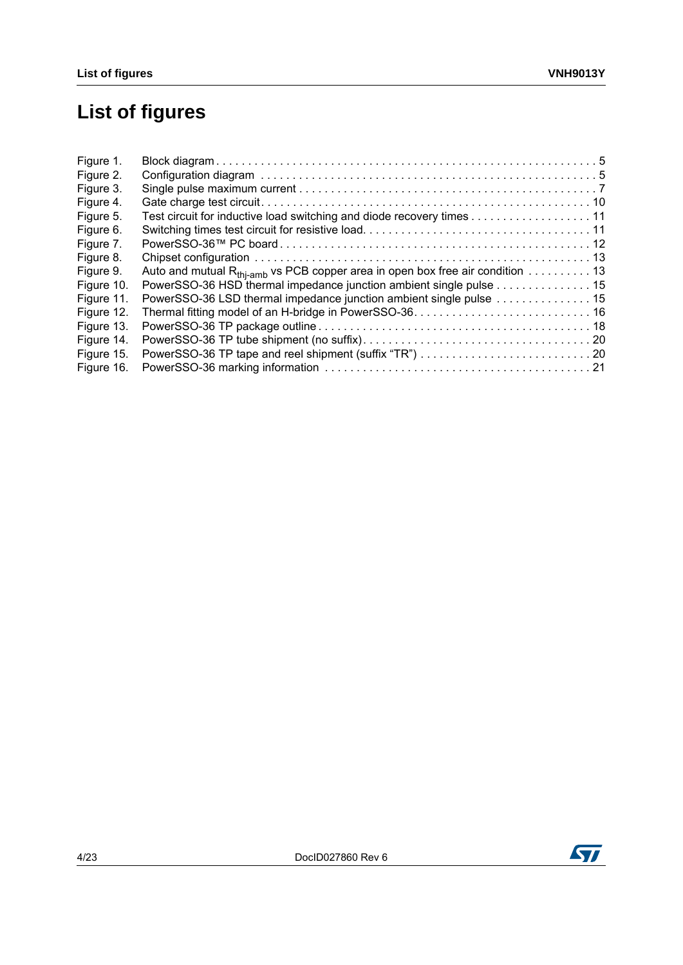# **List of figures**

| Figure 1.  |                                                                                                               |  |
|------------|---------------------------------------------------------------------------------------------------------------|--|
| Figure 2.  |                                                                                                               |  |
| Figure 3.  |                                                                                                               |  |
| Figure 4.  |                                                                                                               |  |
| Figure 5.  | Test circuit for inductive load switching and diode recovery times 11                                         |  |
| Figure 6.  |                                                                                                               |  |
| Figure 7.  |                                                                                                               |  |
| Figure 8.  |                                                                                                               |  |
| Figure 9.  | Auto and mutual R <sub>thi-amb</sub> vs PCB copper area in open box free air condition $\dots \dots \dots 13$ |  |
| Figure 10. | PowerSSO-36 HSD thermal impedance junction ambient single pulse 15                                            |  |
| Figure 11. | PowerSSO-36 LSD thermal impedance junction ambient single pulse 15                                            |  |
| Figure 12. |                                                                                                               |  |
| Figure 13. |                                                                                                               |  |
| Figure 14. |                                                                                                               |  |
| Figure 15. |                                                                                                               |  |
| Figure 16. |                                                                                                               |  |

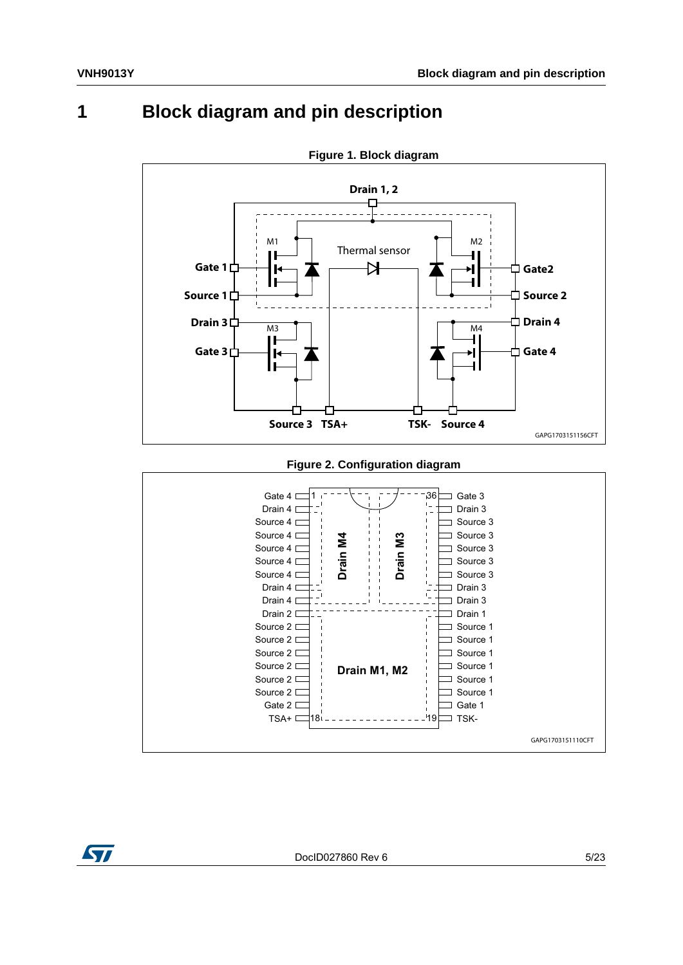## <span id="page-4-0"></span>**1 Block diagram and pin description**

<span id="page-4-1"></span>

**Figure 1. Block diagram**

#### **Figure 2. Configuration diagram**

<span id="page-4-2"></span>

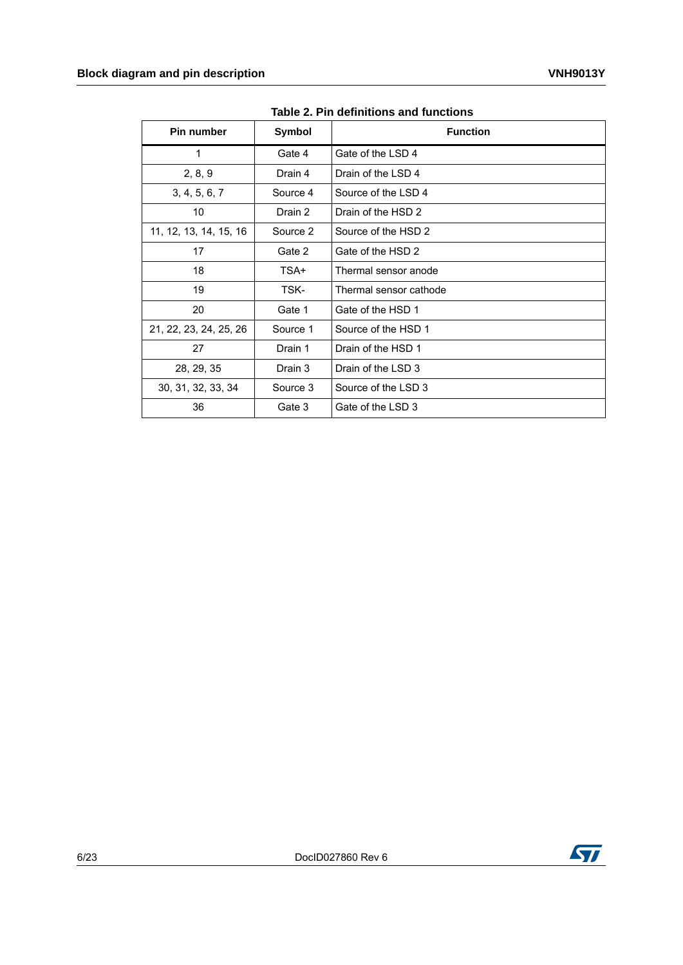<span id="page-5-0"></span>

| Pin number             | Symbol   | <b>Function</b>        |
|------------------------|----------|------------------------|
| 1                      | Gate 4   | Gate of the LSD 4      |
| 2, 8, 9                | Drain 4  | Drain of the LSD 4     |
| 3, 4, 5, 6, 7          | Source 4 | Source of the LSD 4    |
| 10                     | Drain 2  | Drain of the HSD 2     |
| 11, 12, 13, 14, 15, 16 | Source 2 | Source of the HSD 2    |
| 17                     | Gate 2   | Gate of the HSD 2      |
| 18                     | TSA+     | Thermal sensor anode   |
| 19                     | TSK-     | Thermal sensor cathode |
| 20                     | Gate 1   | Gate of the HSD 1      |
| 21, 22, 23, 24, 25, 26 | Source 1 | Source of the HSD 1    |
| 27                     | Drain 1  | Drain of the HSD 1     |
| 28, 29, 35             | Drain 3  | Drain of the LSD 3     |
| 30, 31, 32, 33, 34     | Source 3 | Source of the LSD 3    |
| 36                     | Gate 3   | Gate of the LSD 3      |

**Table 2. Pin definitions and functions** 

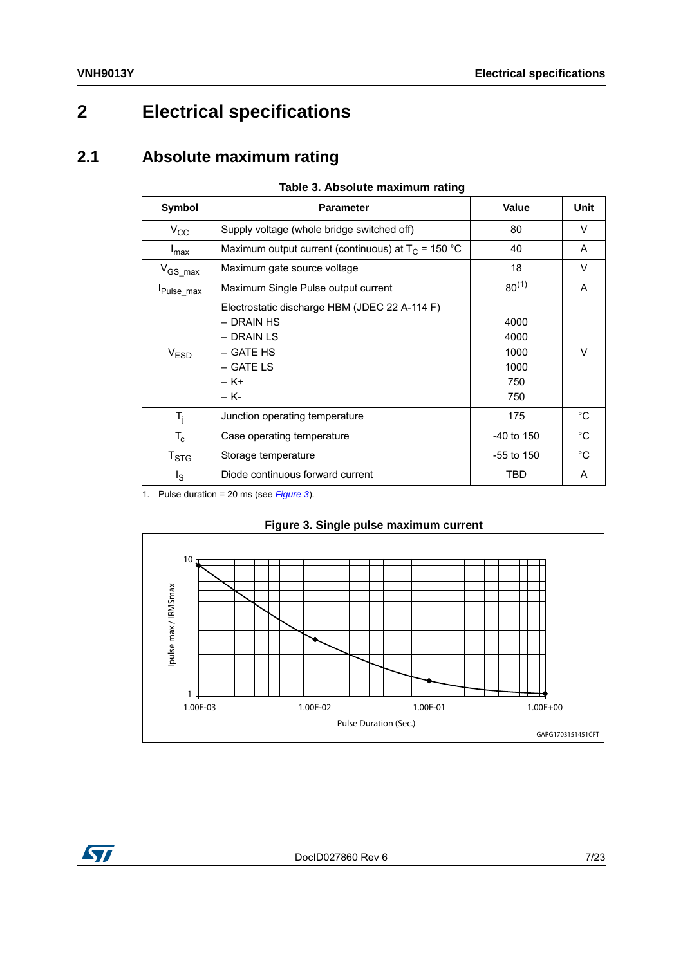## <span id="page-6-0"></span>**2 Electrical specifications**

### <span id="page-6-1"></span>**2.1 Absolute maximum rating**

<span id="page-6-2"></span>

|                             | Table 5. Absolute maximum rating                                                                                    |                                            |              |
|-----------------------------|---------------------------------------------------------------------------------------------------------------------|--------------------------------------------|--------------|
| Symbol                      | <b>Parameter</b>                                                                                                    | Value                                      | Unit         |
| $V_{CC}$                    | Supply voltage (whole bridge switched off)                                                                          | 80                                         | V            |
| $I_{\text{max}}$            | Maximum output current (continuous) at $T_c$ = 150 °C                                                               | 40                                         | A            |
| $V_{GS\_max}$               | Maximum gate source voltage                                                                                         | 18                                         | V            |
| Pulse_max                   | Maximum Single Pulse output current                                                                                 | $80^{(1)}$                                 | A            |
| V <sub>ESD</sub>            | Electrostatic discharge HBM (JDEC 22 A-114 F)<br>- DRAIN HS<br>– DRAIN LS<br>– GATE HS<br>– GATE LS<br>– K+<br>– K- | 4000<br>4000<br>1000<br>1000<br>750<br>750 | V            |
| $T_i$                       | Junction operating temperature                                                                                      | 175                                        | °C           |
| $T_c$                       | Case operating temperature                                                                                          | $-40$ to 150                               | $^{\circ}$ C |
| $\mathsf{T}_{\textsf{STG}}$ | Storage temperature                                                                                                 | $-55$ to 150                               | $^{\circ}C$  |

#### **Table 3. Absolute maximum rating**

1. Pulse duration = 20 ms (see *[Figure 3](#page-6-3)*).

<span id="page-6-3"></span>

#### **Figure 3. Single pulse maximum current**

I<sub>S</sub> Diode continuous forward current TBD | A

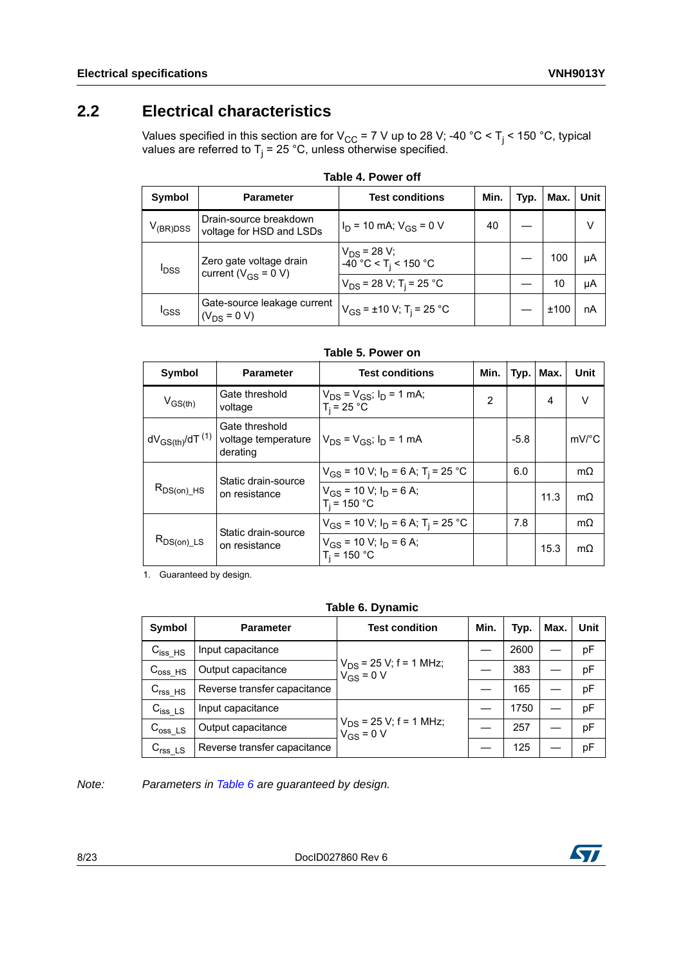### <span id="page-7-0"></span>**2.2 Electrical characteristics**

Values specified in this section are for V<sub>CC</sub> = 7 V up to 28 V; -40 °C < T<sub>j</sub> < 150 °C, typical values are referred to T<sub>j</sub> = 25 °C, unless otherwise specified.

<span id="page-7-1"></span>

| Symbol           | <b>Parameter</b>                                     | <b>Test conditions</b>                                 | Min. | Typ. | Max. | Unit |
|------------------|------------------------------------------------------|--------------------------------------------------------|------|------|------|------|
| $V_{\rm(BR)DSS}$ | Drain-source breakdown<br>voltage for HSD and LSDs   | $I_D$ = 10 mA; $V_{GS}$ = 0 V                          | 40   |      |      | V    |
| <sup>I</sup> DSS | Zero gate voltage drain<br>current ( $V_{GS}$ = 0 V) | $V_{DS}$ = 28 V;<br>$-40$ °C < T <sub>i</sub> < 150 °C |      |      | 100  | μA   |
|                  |                                                      | $V_{DS}$ = 28 V; T <sub>i</sub> = 25 °C                |      |      | 10   | μA   |
| <sup>I</sup> GSS | Gate-source leakage current<br>$(V_{DS} = 0 V)$      | $V_{GS}$ = ±10 V; T <sub>i</sub> = 25 °C               |      |      | ±100 | nA   |

| Table 4. Power off |  |  |
|--------------------|--|--|
|--------------------|--|--|

| Table 5. Power on |  |  |
|-------------------|--|--|
|-------------------|--|--|

<span id="page-7-2"></span>

| Symbol                     | <b>Parameter</b>                                  | <b>Test conditions</b>                               | Min.           | Typ.   | Max. | Unit                  |
|----------------------------|---------------------------------------------------|------------------------------------------------------|----------------|--------|------|-----------------------|
| $V_{GS(th)}$               | Gate threshold<br>voltage                         | $V_{DS} = V_{GS}$ ; $I_D = 1$ mA;<br>$T_i = 25 °C$   | $\overline{2}$ |        | 4    | $\vee$                |
| $dV_{GS(th)}$ /d $T^{(1)}$ | Gate threshold<br>voltage temperature<br>derating | $V_{DS} = V_{GS}$ ; $I_D = 1$ mA                     |                | $-5.8$ |      | $mV$ <sup>o</sup> $C$ |
|                            | Static drain-source                               | $V_{GS}$ = 10 V; $I_D$ = 6 A; T <sub>i</sub> = 25 °C |                | 6.0    |      | $m\Omega$             |
| $R_{DS(on)}$ _HS           | on resistance                                     | $V_{GS}$ = 10 V; $I_D$ = 6 A;<br>$T_i = 150 °C$      |                |        | 11.3 | $m\Omega$             |
| $R_{DS(on)\_LS}$           | Static drain-source<br>on resistance              | $V_{GS}$ = 10 V; $I_D$ = 6 A; T <sub>i</sub> = 25 °C |                | 7.8    |      | $m\Omega$             |
|                            |                                                   | $V_{GS}$ = 10 V; $I_D$ = 6 A;<br>$T_i = 150 °C$      |                |        | 15.3 | $m\Omega$             |

1. Guaranteed by design.

#### **Table 6. Dynamic**

<span id="page-7-3"></span>

| Symbol                 | <b>Parameter</b>             | <b>Test condition</b>                         | Min. | Typ. | Max. | Unit |
|------------------------|------------------------------|-----------------------------------------------|------|------|------|------|
| $C_{iss_HSS}$          | Input capacitance            |                                               |      | 2600 |      | pF   |
| $C_{\rm oss\_HS}$      | Output capacitance           | $V_{DS}$ = 25 V; f = 1 MHz;<br>$V_{GS} = 0 V$ |      | 383  |      | pF   |
| $Crss_HS$              | Reverse transfer capacitance |                                               |      | 165  |      | pF   |
| $C_{iss}\_{LS}$        | Input capacitance            | $V_{DS}$ = 25 V; f = 1 MHz;<br>$V_{GS} = 0 V$ |      | 1750 |      | pF   |
| $C_{\text{oss} \; LS}$ | Output capacitance           |                                               |      | 257  |      | pF   |
| $Crss_LS$              | Reverse transfer capacitance |                                               |      | 125  |      | pF   |

*Note: Parameters in [Table](#page-7-3) 6 are guaranteed by design.*

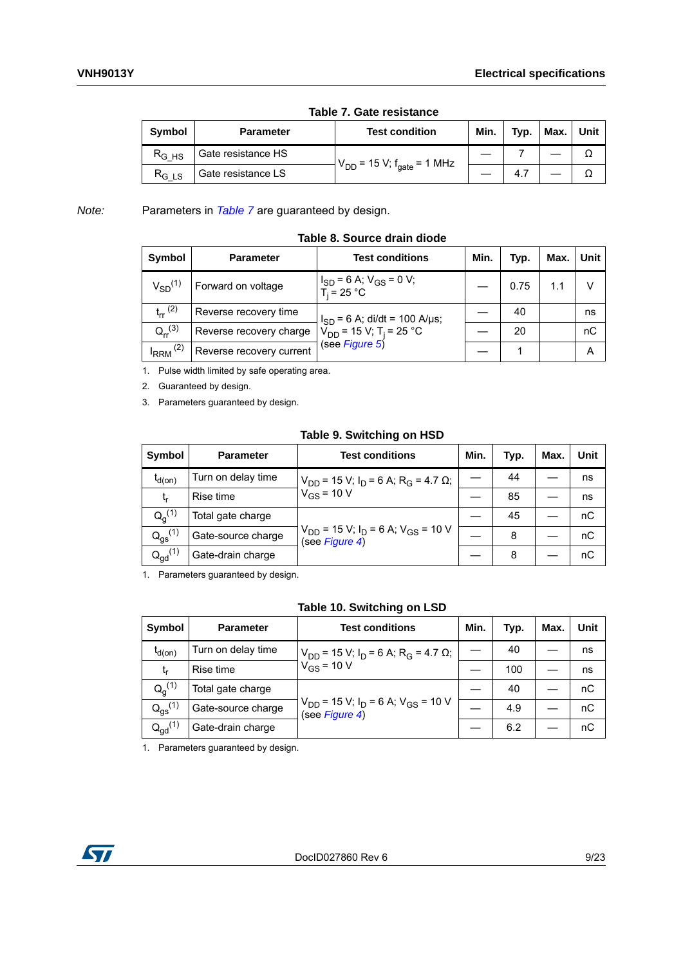<span id="page-8-0"></span>

| <b>Symbol</b> | <b>Parameter</b>   | <b>Test condition</b>                      | Min. | Typ. | Max. | Unit |  |  |
|---------------|--------------------|--------------------------------------------|------|------|------|------|--|--|
| $R_{GHS}$     | Gate resistance HS |                                            |      |      |      |      |  |  |
| $R_{G~LS}$    | Gate resistance LS | $V_{DD}$ = 15 V; f <sub>gate</sub> = 1 MHz |      |      |      |      |  |  |

#### **Table 7. Gate resistance**

*Note:* Parameters in *[Table](#page-8-0) 7* are guaranteed by design.

<span id="page-8-1"></span>

| Symbol          | <b>Parameter</b>         | <b>Test conditions</b>                                    | Min. | Typ. | Max. | Unit |
|-----------------|--------------------------|-----------------------------------------------------------|------|------|------|------|
| $V_{SD}^{(1)}$  | Forward on voltage       | $I_{SD}$ = 6 A; $V_{GS}$ = 0 V;<br>T <sub>i</sub> = 25 °C |      | 0.75 |      | V    |
| $t_{rr}$ (2)    | Reverse recovery time    | $I_{SD}$ = 6 A; di/dt = 100 A/µs;                         |      | 40   |      | ns   |
| $Q_{rr}^{(3)}$  | Reverse recovery charge  | $V_{DD}$ = 15 V; T <sub>i</sub> = 25 °C                   |      | 20   |      | nC   |
| $I_{RRM}$ $(2)$ | Reverse recovery current | (see Figure 5)                                            |      |      |      | А    |

#### **Table 8. Source drain diode**

1. Pulse width limited by safe operating area.

<span id="page-8-4"></span>2. Guaranteed by design.

3. Parameters guaranteed by design.

#### **Table 9. Switching on HSD**

<span id="page-8-2"></span>

| <b>Symbol</b>         | <b>Parameter</b>   | <b>Test conditions</b>                                                 | Min. | Typ. | Max. | <b>Unit</b> |
|-----------------------|--------------------|------------------------------------------------------------------------|------|------|------|-------------|
| $t_{d(on)}$           | Turn on delay time | $V_{DD}$ = 15 V; I <sub>D</sub> = 6 A; R <sub>G</sub> = 4.7 Ω;         |      | 44   |      | ns          |
| t,                    | Rise time          | $V_{GS}$ = 10 V                                                        |      | 85   |      | ns          |
| $Q_q^{(1)}$           | Total gate charge  |                                                                        |      | 45   |      | nC          |
| $Q_{gs}^{(1)}$        | Gate-source charge | $V_{DD}$ = 15 V; $I_D$ = 6 A; V <sub>GS</sub> = 10 V<br>(see Figure 4) |      | 8    |      | nC          |
| $Q_{\text{gd}}^{(1)}$ | Gate-drain charge  |                                                                        |      | 8    |      | пC          |

<span id="page-8-5"></span>1. Parameters guaranteed by design.

**Table 10. Switching on LSD** 

<span id="page-8-3"></span>

| Symbol                | <b>Parameter</b>   | <b>Test conditions</b>                                                 | Min. | Typ. | Max. | Unit |
|-----------------------|--------------------|------------------------------------------------------------------------|------|------|------|------|
| $t_{d(on)}$           | Turn on delay time | $V_{DD}$ = 15 V; I <sub>D</sub> = 6 A; R <sub>G</sub> = 4.7 Ω;         |      | 40   |      | ns   |
| t,                    | Rise time          | $V_{GS}$ = 10 V                                                        |      | 100  |      | ns   |
| $Q_q^{(1)}$           | Total gate charge  |                                                                        |      | 40   |      | nC   |
| $Q_{gs}^{(1)}$        | Gate-source charge | $V_{DD}$ = 15 V; $I_D$ = 6 A; V <sub>GS</sub> = 10 V<br>(see Figure 4) |      | 4.9  |      | nC   |
| $Q_{\text{gd}}^{(1)}$ | Gate-drain charge  |                                                                        |      | 6.2  |      | пC   |

<span id="page-8-6"></span>1. Parameters guaranteed by design.

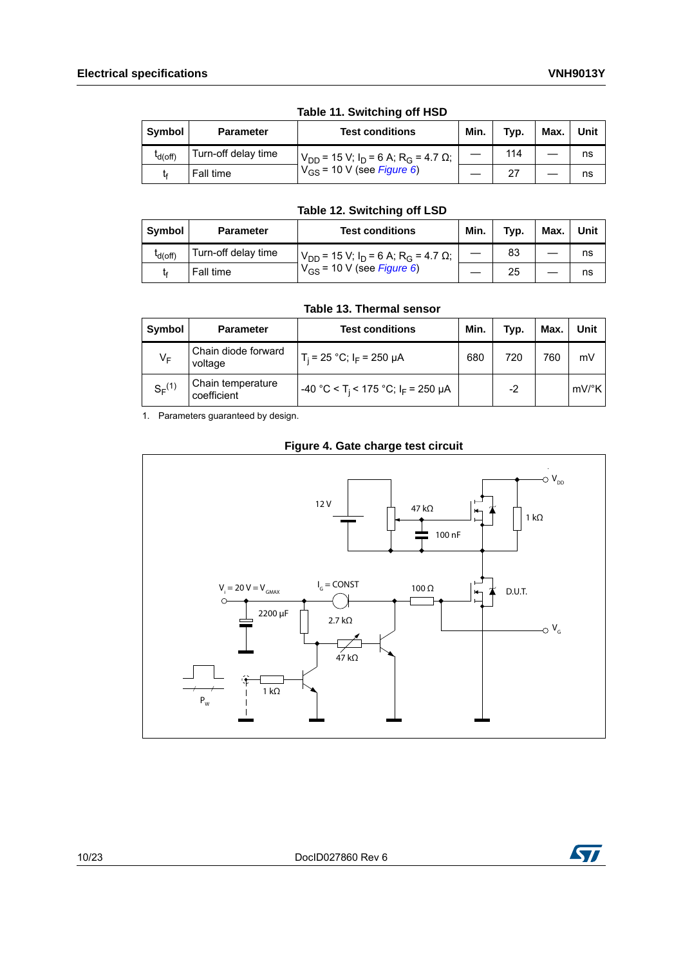<span id="page-9-0"></span>

| <b>Symbol</b>       | <b>Test conditions</b><br><b>Parameter</b> |                                                                | Min. | Typ. | Max. | Unit |  |  |
|---------------------|--------------------------------------------|----------------------------------------------------------------|------|------|------|------|--|--|
| <sup>L</sup> d(off) | Turn-off delay time                        | $V_{DD}$ = 15 V; I <sub>D</sub> = 6 A; R <sub>G</sub> = 4.7 Ω; |      | 114  |      | ns   |  |  |
|                     | Fall time                                  | $V_{GS}$ = 10 V (see <i>Figure 6</i> )                         |      | -27  |      | ns   |  |  |

#### **Table 11. Switching off HSD**

#### **Table 12. Switching off LSD**

<span id="page-9-1"></span>

| Symbol              | <b>Parameter</b>    | <b>Test conditions</b>                                        | Min. | Typ. | Max. | Unit |
|---------------------|---------------------|---------------------------------------------------------------|------|------|------|------|
| <sup>I</sup> d(off) | Turn-off delay time | $V_{DD}$ = 15 V; $I_D$ = 6 A; R <sub>G</sub> = 4.7 $\Omega$ ; |      | 83   |      | ns   |
|                     | Fall time           | $V_{GS}$ = 10 V (see Figure 6)                                |      | 25   |      | ns   |

**Table 13. Thermal sensor** 

<span id="page-9-2"></span>

| Symbol      | <b>Parameter</b>                 | <b>Test conditions</b>                                    | Min. | Typ. | Max. | Unit                |  |  |  |
|-------------|----------------------------------|-----------------------------------------------------------|------|------|------|---------------------|--|--|--|
| VF          | Chain diode forward<br>voltage   | $T_i = 25 °C$ ; $I_F = 250 \mu A$                         | 680  | 720  | 760  | mV                  |  |  |  |
| $S_F^{(1)}$ | Chain temperature<br>coefficient | -40 °C < T <sub>i</sub> < 175 °C; I <sub>F</sub> = 250 µA |      | $-2$ |      | $mV$ <sup>o</sup> K |  |  |  |

1. Parameters guaranteed by design.

**Figure 4. Gate charge test circuit**

<span id="page-9-3"></span>

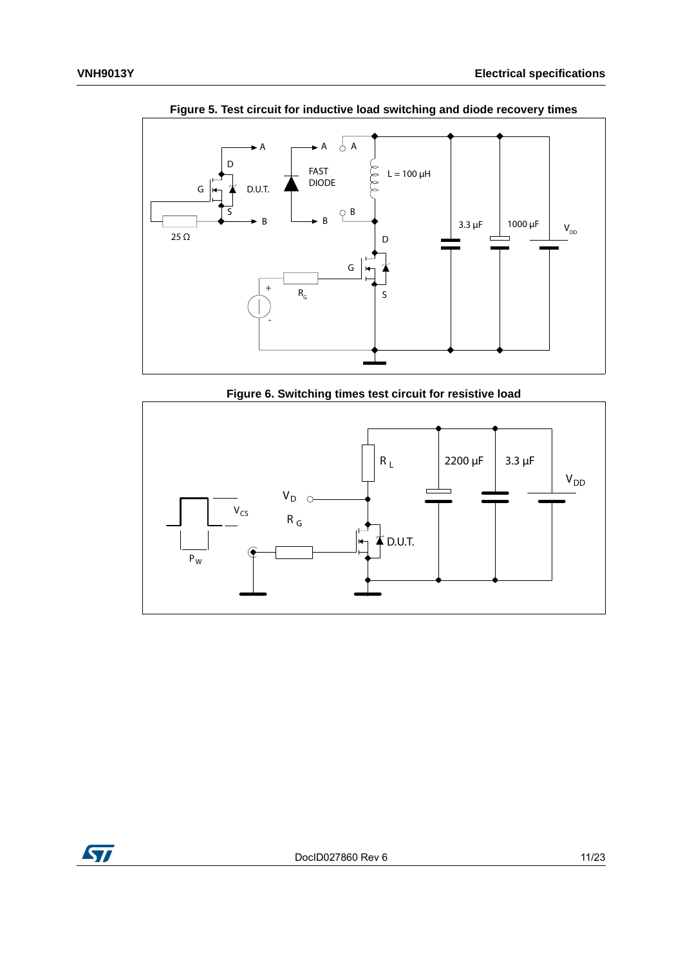<span id="page-10-0"></span>

**Figure 5. Test circuit for inductive load switching and diode recovery times**

**Figure 6. Switching times test circuit for resistive load**

<span id="page-10-1"></span>

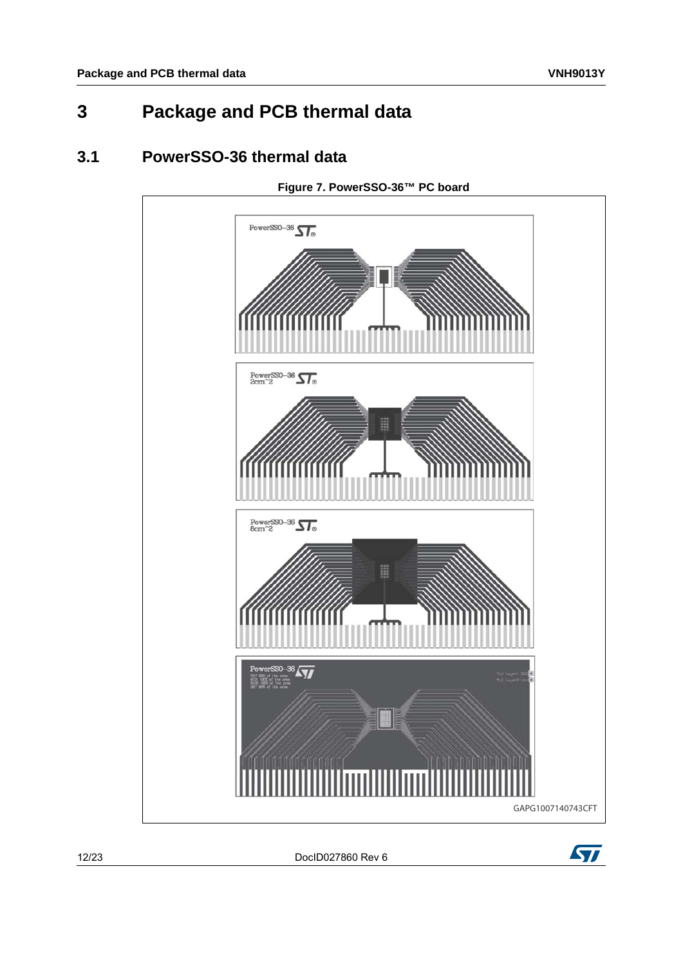## <span id="page-11-0"></span>**3 Package and PCB thermal data**

### <span id="page-11-1"></span>**3.1 PowerSSO-36 thermal data**

<span id="page-11-2"></span>

12/[23](#page-22-0) DocID027860 Rev 6

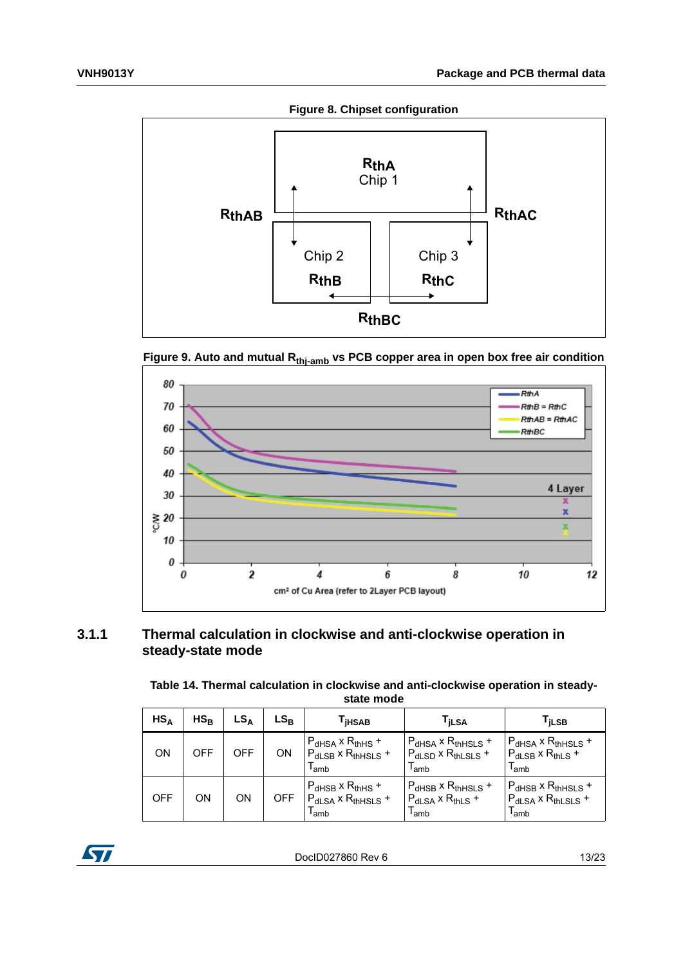**Figure 8. Chipset configuration**

<span id="page-12-2"></span>

<span id="page-12-3"></span>



#### <span id="page-12-0"></span>**3.1.1 Thermal calculation in clockwise and anti-clockwise operation in steady-state mode**

<span id="page-12-1"></span>**Table 14. Thermal calculation in clockwise and anti-clockwise operation in steadystate mode**

| $HS_A$     | $HS_B$ | $LS_A$     | $\mathsf{LS}_\mathsf{B}$ | <sup>I</sup> iHSAB                                                                         | l <sub>İ</sub> LSA                                                  | l <sub>İ</sub> LSB                                                                    |
|------------|--------|------------|--------------------------|--------------------------------------------------------------------------------------------|---------------------------------------------------------------------|---------------------------------------------------------------------------------------|
| ON         | OFF    | <b>OFF</b> | ON                       | $P_{dHSA}$ x R <sub>thHS</sub> +<br>$P_{dLSB}$ x R <sub>thHSLS</sub> +<br><sup>I</sup> amb | $P_{dHSA}$ x $R_{thHSLS}$ +<br>$P_{dLSD}$ x $R_{thLSLS}$ +<br>l amb | $P_{dHSA}$ x $R_{thHSLS}$ +<br>$P_{dLSB}$ x R <sub>thLS</sub> +<br><sup>l</sup> amb   |
| <b>OFF</b> | OΝ     | ON         | <b>OFF</b>               | $P_{dHSB}$ x R <sub>thHS</sub> +<br>$P_{dLSA}$ x R <sub>thHSLS</sub> +<br><sup>I</sup> amb | $P_{dHSB}$ x $R_{thHSLS}$ +<br>$P_{dLSA}$ x $R_{thLS}$ +<br>l amb   | $P_{dHSB}$ x R <sub>thHSLS</sub> +<br>$P_{dLSA}$ x $R_{thLSLS}$ +<br><sup>l</sup> amb |

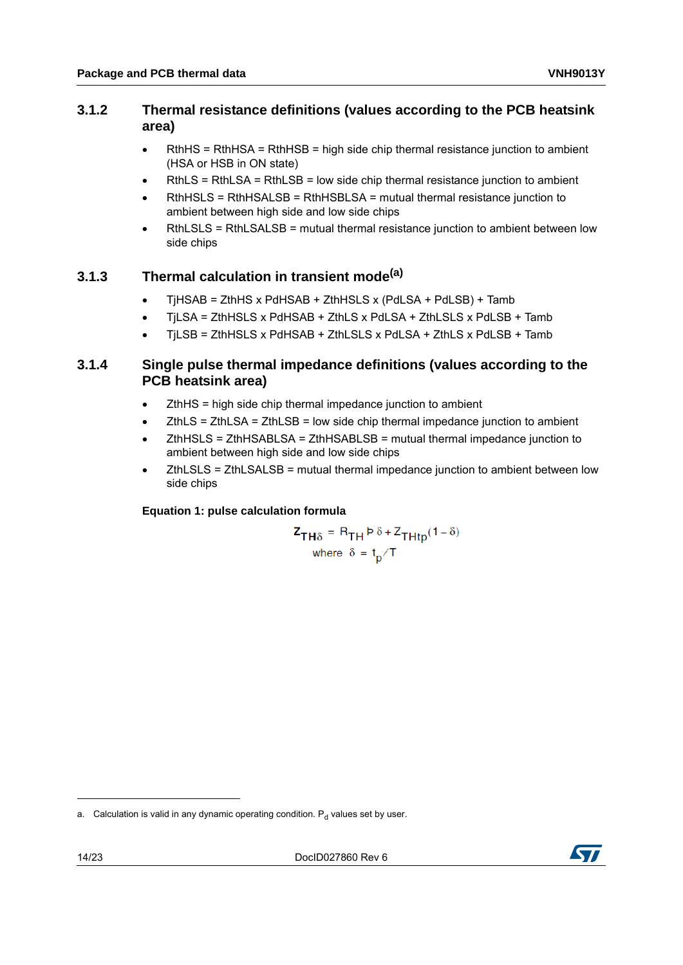#### <span id="page-13-0"></span>**3.1.2 Thermal resistance definitions (values according to the PCB heatsink area)**

- $\bullet$  RthHS = RthHSA = RthHSB = high side chip thermal resistance junction to ambient (HSA or HSB in ON state)
- RthLS = RthLSA = RthLSB = low side chip thermal resistance junction to ambient
- RthHSLS = RthHSALSB = RthHSBLSA = mutual thermal resistance junction to ambient between high side and low side chips
- RthLSLS = RthLSALSB = mutual thermal resistance junction to ambient between low side chips

### <span id="page-13-1"></span>**3.1.3 Thermal calculation in transient mode(a)**

- TjHSAB = ZthHS x PdHSAB + ZthHSLS x (PdLSA + PdLSB) + Tamb
- TjLSA = ZthHSLS x PdHSAB + ZthLS x PdLSA + ZthLSLS x PdLSB + Tamb
- TjLSB = ZthHSLS x PdHSAB + ZthLSLS x PdLSA + ZthLS x PdLSB + Tamb

#### <span id="page-13-2"></span>**3.1.4 Single pulse thermal impedance definitions (values according to the PCB heatsink area)**

- ZthHS = high side chip thermal impedance junction to ambient
- ZthLS = ZthLSA = ZthLSB = low side chip thermal impedance junction to ambient
- ZthHSLS = ZthHSABLSA = ZthHSABLSB = mutual thermal impedance junction to ambient between high side and low side chips
- ZthLSLS = ZthLSALSB = mutual thermal impedance junction to ambient between low side chips

#### **Equation 1: pulse calculation formula**

$$
Z_{TH\delta} = R_{TH} P \delta + Z_{THtp}(1 - \delta)
$$
  
where  $\delta = t_p/T$ 



a. Calculation is valid in any dynamic operating condition.  $P_d$  values set by user.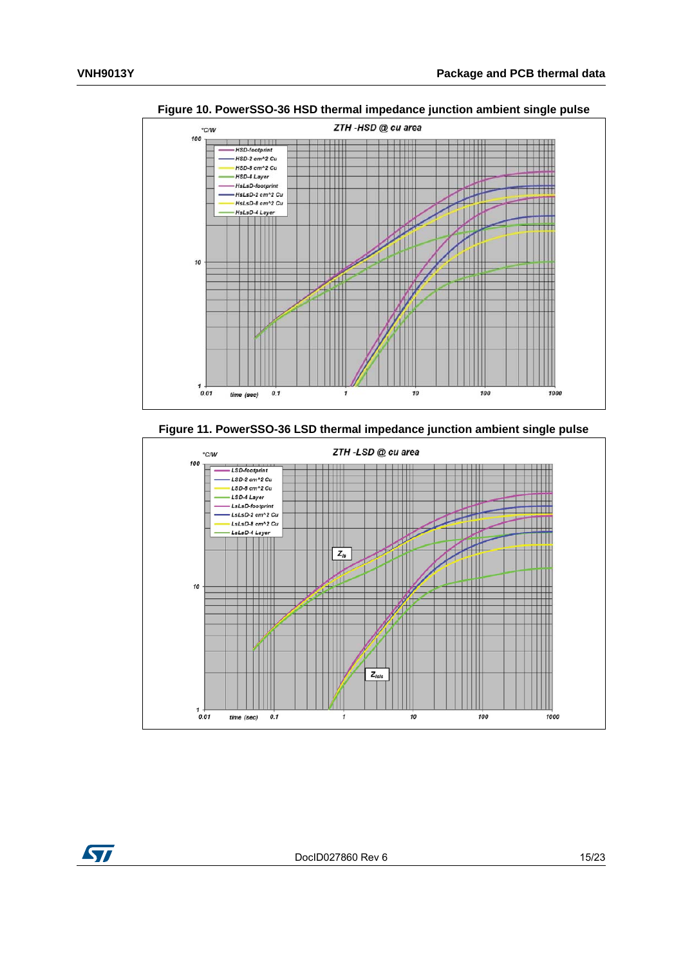

<span id="page-14-0"></span>**Figure 10. PowerSSO-36 HSD thermal impedance junction ambient single pulse**

<span id="page-14-1"></span>**Figure 11. PowerSSO-36 LSD thermal impedance junction ambient single pulse**



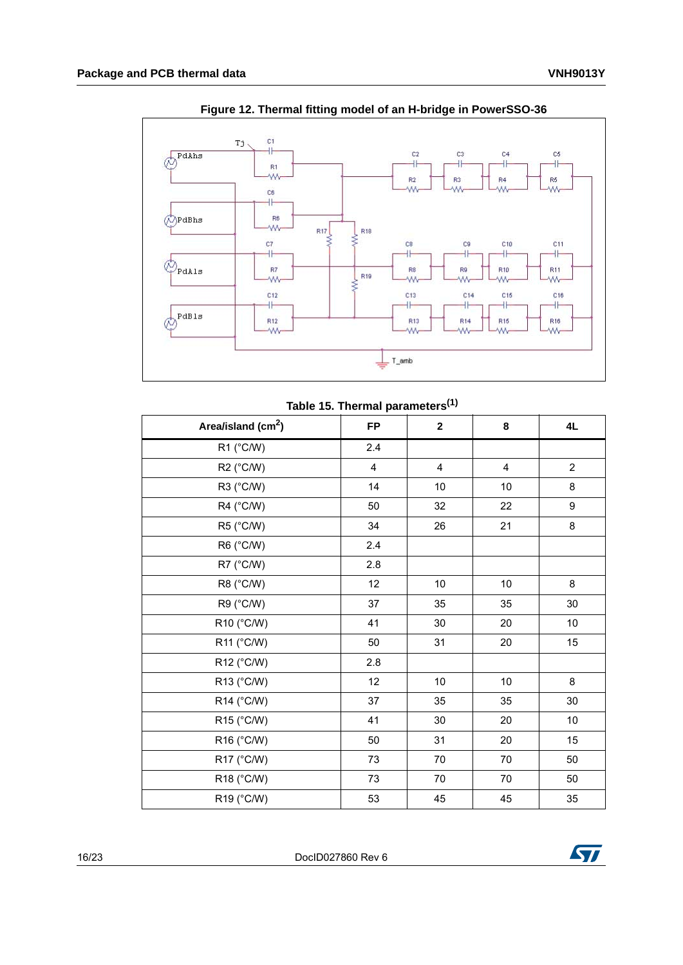<span id="page-15-1"></span>

**Figure 12. Thermal fitting model of an H-bridge in PowerSSO-36**

| Table 15. Thermal parameters <sup>(1)</sup> |  |
|---------------------------------------------|--|
|---------------------------------------------|--|

<span id="page-15-0"></span>

| Area/island (cm <sup>2</sup> ) | <b>FP</b>      | $\overline{\mathbf{2}}$ | 8    | 4L             |
|--------------------------------|----------------|-------------------------|------|----------------|
| $R1$ (°C/W)                    | 2.4            |                         |      |                |
| R2 (°C/W)                      | $\overline{4}$ | $\overline{\mathbf{4}}$ | 4    | $\overline{2}$ |
| R3 (°C/W)                      | 14             | 10                      | 10   | 8              |
| R4 (°C/W)                      | 50             | 32                      | 22   | 9              |
| R5 (°C/W)                      | 34             | 26                      | 21   | 8              |
| R6 (°C/W)                      | 2.4            |                         |      |                |
| R7 (°C/W)                      | 2.8            |                         |      |                |
| R8 (°C/W)                      | 12             | 10                      | $10$ | 8              |
| R9 (°C/W)                      | 37             | 35                      | 35   | 30             |
| R10 (°C/W)                     | 41             | 30                      | 20   | $10$           |
| R11 (°C/W)                     | 50             | 31                      | 20   | 15             |
| R12 (°C/W)                     | 2.8            |                         |      |                |
| R13 (°C/W)                     | 12             | $10\,$                  | $10$ | 8              |
| R14 (°C/W)                     | 37             | 35                      | 35   | 30             |
| R15 (°C/W)                     | 41             | 30                      | 20   | 10             |
| R16 (°C/W)                     | 50             | 31                      | 20   | 15             |
| R17 (°C/W)                     | 73             | 70                      | 70   | 50             |
| R18 (°C/W)                     | 73             | 70                      | 70   | 50             |
| R19 (°C/W)                     | 53             | 45                      | 45   | 35             |

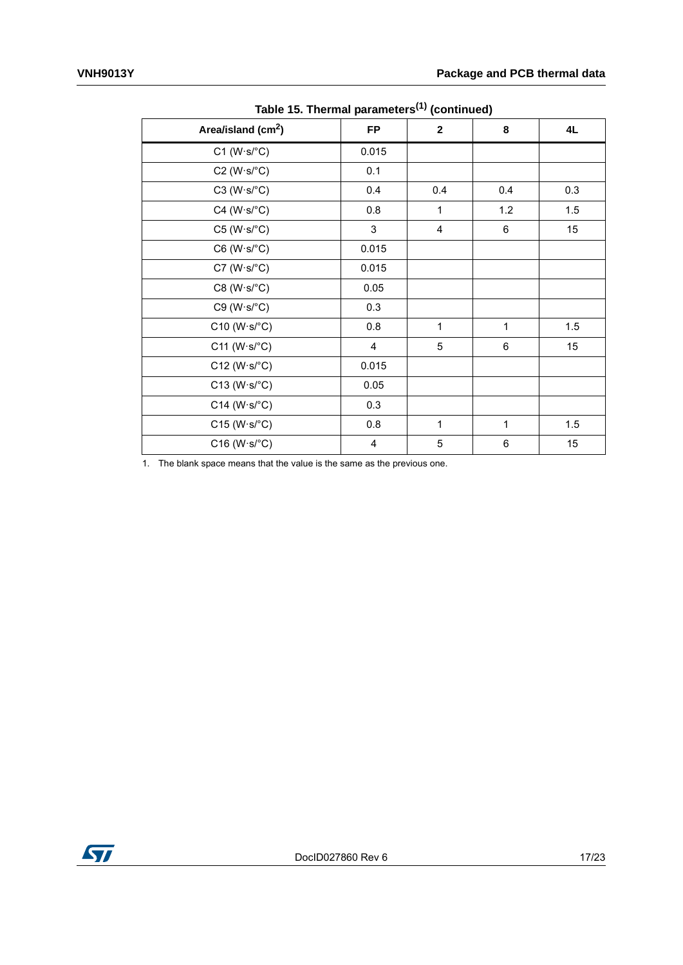| Area/island (cm <sup>2</sup> ) |              |              |     |  |  |  |
|--------------------------------|--------------|--------------|-----|--|--|--|
|                                | $\mathbf{2}$ | 8            | 4L  |  |  |  |
| 0.015                          |              |              |     |  |  |  |
| 0.1                            |              |              |     |  |  |  |
| 0.4                            | 0.4          | 0.4          | 0.3 |  |  |  |
| 0.8                            | 1            | $1.2$        | 1.5 |  |  |  |
| $\mathfrak{S}$                 | 4            | 6            | 15  |  |  |  |
| 0.015                          |              |              |     |  |  |  |
| 0.015                          |              |              |     |  |  |  |
| 0.05                           |              |              |     |  |  |  |
| 0.3                            |              |              |     |  |  |  |
| 0.8                            | $\mathbf{1}$ | $\mathbf{1}$ | 1.5 |  |  |  |
| 4                              | 5            | $\,6$        | 15  |  |  |  |
| 0.015                          |              |              |     |  |  |  |
| 0.05                           |              |              |     |  |  |  |
| 0.3                            |              |              |     |  |  |  |
| 0.8                            | $\mathbf{1}$ | $\mathbf{1}$ | 1.5 |  |  |  |
| $\overline{4}$                 | 5            | $\,6$        | 15  |  |  |  |
|                                | <b>FP</b>    |              |     |  |  |  |

**Table 15. Thermal parameters(1) (continued)**

1. The blank space means that the value is the same as the previous one.

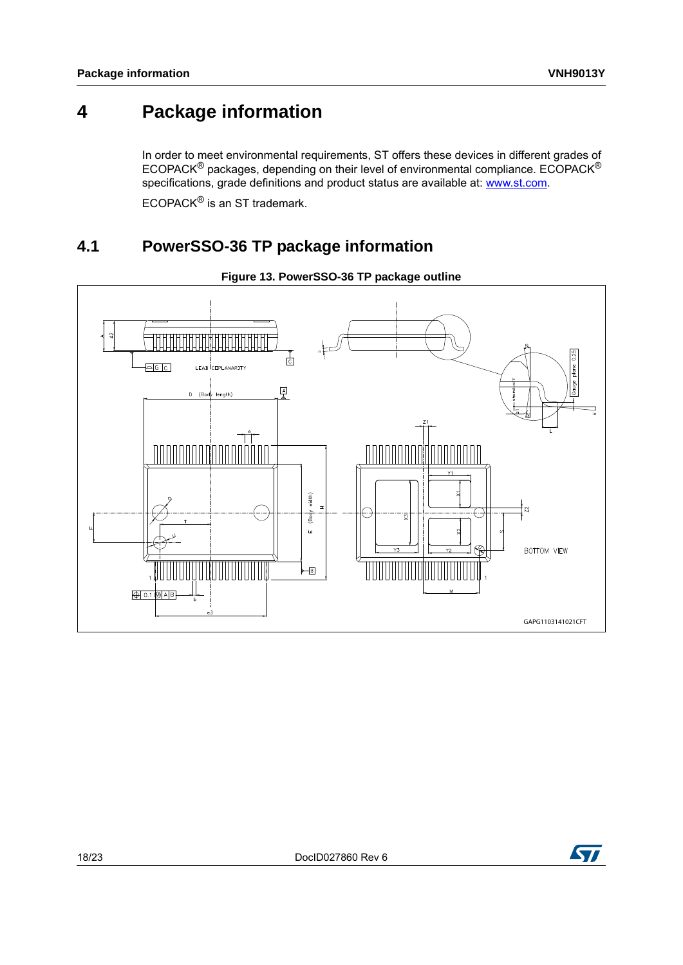## <span id="page-17-0"></span>**4 Package information**

In order to meet environmental requirements, ST offers these devices in different grades of ECOPACK® packages, depending on their level of environmental compliance. ECOPACK® specifications, grade definitions and product status are available at: www.st.com.

ECOPACK<sup>®</sup> is an ST trademark.

### <span id="page-17-1"></span>**4.1 PowerSSO-36 TP package information**

<span id="page-17-2"></span>

#### **Figure 13. PowerSSO-36 TP package outline**

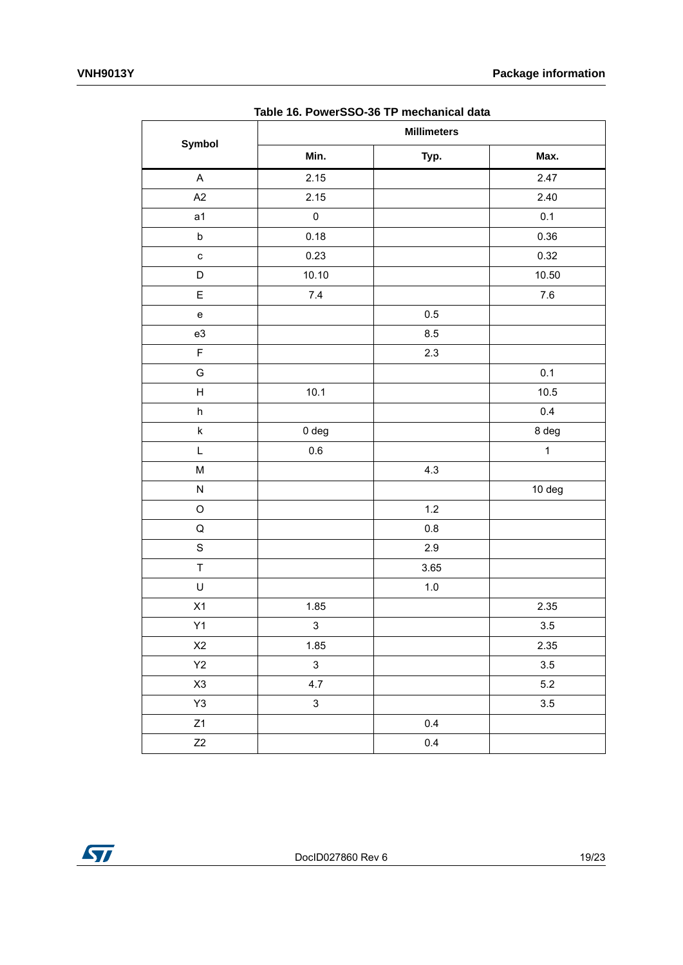<span id="page-18-0"></span>

|                                   |              | rabic To. I Owerddo 30 i'i mcchamoardaia<br><b>Millimeters</b> |                   |
|-----------------------------------|--------------|----------------------------------------------------------------|-------------------|
| Symbol                            | Min.         | Typ.                                                           | Max.              |
| $\mathsf A$                       | 2.15         |                                                                | 2.47              |
| A2                                | 2.15         |                                                                | 2.40              |
| a <sub>1</sub>                    | $\pmb{0}$    |                                                                | 0.1               |
| $\sf b$                           | 0.18         |                                                                | 0.36              |
| $\mathbf{C}$                      | 0.23         |                                                                | 0.32              |
| D                                 | 10.10        |                                                                | 10.50             |
| E                                 | $7.4$        |                                                                | $7.6\,$           |
| $\mathsf{e}% _{t}\left( t\right)$ |              | $0.5\,$                                                        |                   |
| e3                                |              | $8.5\,$                                                        |                   |
| $\mathsf F$                       |              | $2.3\,$                                                        |                   |
| G                                 |              |                                                                | 0.1               |
| H                                 | 10.1         |                                                                | $10.5$            |
| $\boldsymbol{\mathsf{h}}$         |              |                                                                | 0.4               |
| $\sf k$                           | 0 deg        |                                                                | 8 deg             |
| L                                 | $0.6\,$      |                                                                | $\mathbf{1}$      |
| $\sf M$                           |              | $4.3$                                                          |                   |
| ${\sf N}$                         |              |                                                                | 10 <sub>deg</sub> |
| $\mathsf O$                       |              | $1.2$                                                          |                   |
| $\mathsf Q$                       |              | $0.8\,$                                                        |                   |
| $\mathbf S$                       |              | $2.9\,$                                                        |                   |
| $\top$                            |              | 3.65                                                           |                   |
| U                                 |              | $1.0\,$                                                        |                   |
| X1                                | 1.85         |                                                                | 2.35              |
| Y1                                | $\mathbf{3}$ |                                                                | $3.5\,$           |
| $\boldsymbol{\mathsf{X2}}$        | 1.85         |                                                                | 2.35              |
| $\mathsf{Y}2$                     | $\mathbf{3}$ |                                                                | $3.5\,$           |
| X3                                | 4.7          |                                                                | $5.2\,$           |
| $\mathsf{Y}3$                     | $\mathbf{3}$ |                                                                | $3.5\,$           |
| Z1                                |              | $0.4\,$                                                        |                   |
| Z2                                |              | 0.4                                                            |                   |

**Table 16. PowerSSO-36 TP mechanical data** 

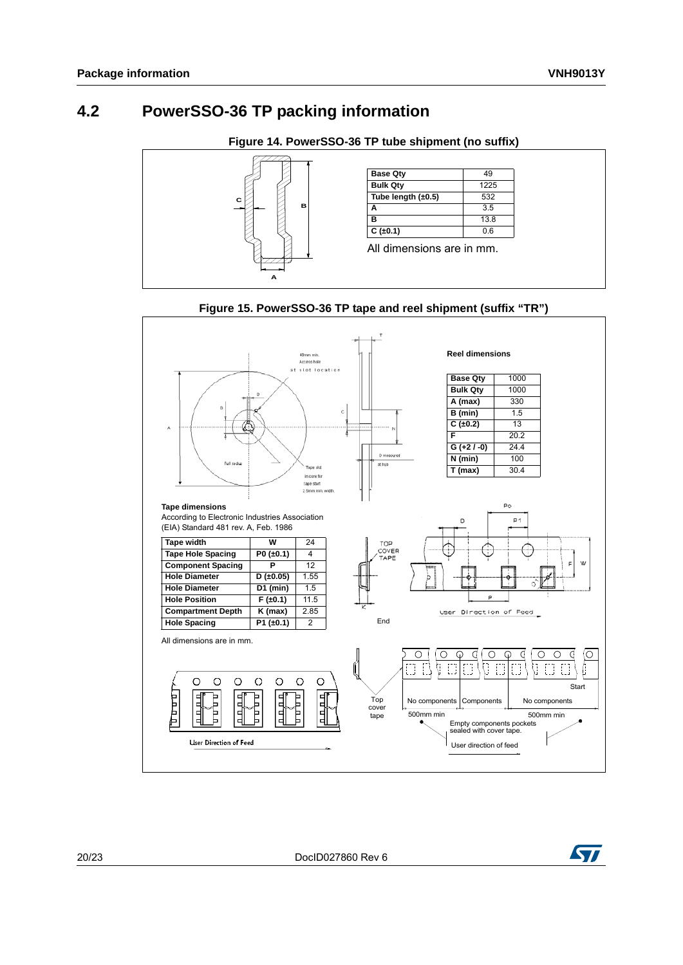### <span id="page-19-0"></span>**4.2 PowerSSO-36 TP packing information**

**Figure 14. PowerSSO-36 TP tube shipment (no suffix)**

<span id="page-19-1"></span>

<span id="page-19-2"></span>

#### **Figure 15. PowerSSO-36 TP tape and reel shipment (suffix "TR")**

20/[23](#page-22-0) DocID027860 Rev 6

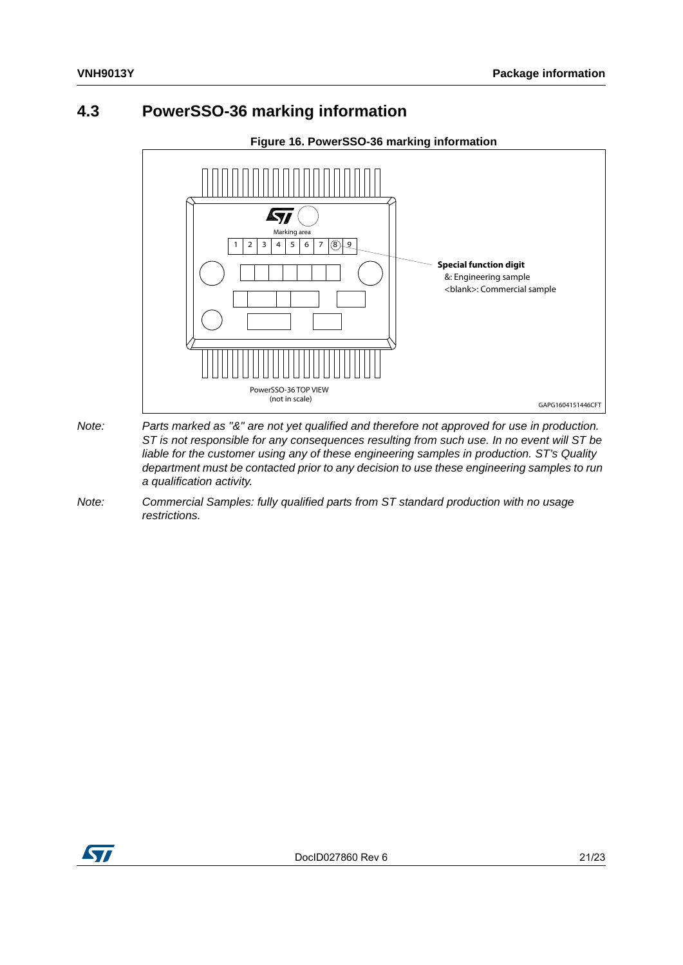### <span id="page-20-0"></span>**4.3 PowerSSO-36 marking information**

<span id="page-20-1"></span>

- *Note: Parts marked as "&" are not yet qualified and therefore not approved for use in production. ST is not responsible for any consequences resulting from such use. In no event will ST be liable for the customer using any of these engineering samples in production. ST's Quality department must be contacted prior to any decision to use these engineering samples to run a qualification activity.*
- *Note: Commercial Samples: fully qualified parts from ST standard production with no usage restrictions.*

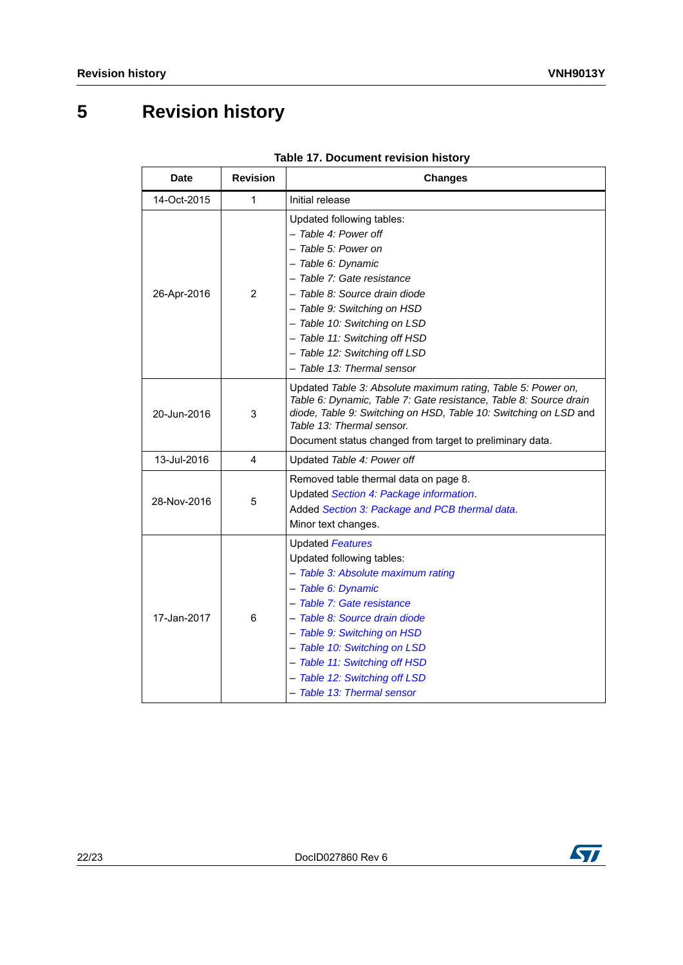## <span id="page-21-0"></span>**5 Revision history**

<span id="page-21-1"></span>

| <b>Date</b> | <b>Revision</b> | <b>Changes</b>                                                                                                                                                                                                                                                                                                                                 |
|-------------|-----------------|------------------------------------------------------------------------------------------------------------------------------------------------------------------------------------------------------------------------------------------------------------------------------------------------------------------------------------------------|
| 14-Oct-2015 | 1               | Initial release                                                                                                                                                                                                                                                                                                                                |
| 26-Apr-2016 | 2               | Updated following tables:<br>- Table 4: Power off<br>- Table 5: Power on<br>- Table 6: Dynamic<br>- Table 7: Gate resistance<br>- Table 8: Source drain diode<br>- Table 9: Switching on HSD<br>- Table 10: Switching on LSD<br>- Table 11: Switching off HSD<br>- Table 12: Switching off LSD<br>- Table 13: Thermal sensor                   |
| 20-Jun-2016 | 3               | Updated Table 3: Absolute maximum rating, Table 5: Power on,<br>Table 6: Dynamic, Table 7: Gate resistance, Table 8: Source drain<br>diode, Table 9: Switching on HSD, Table 10: Switching on LSD and<br>Table 13: Thermal sensor.<br>Document status changed from target to preliminary data.                                                 |
| 13-Jul-2016 | 4               | Updated Table 4: Power off                                                                                                                                                                                                                                                                                                                     |
| 28-Nov-2016 | 5               | Removed table thermal data on page 8.<br>Updated Section 4: Package information.<br>Added Section 3: Package and PCB thermal data.<br>Minor text changes.                                                                                                                                                                                      |
| 17-Jan-2017 | 6               | <b>Updated Features</b><br>Updated following tables:<br>- Table 3: Absolute maximum rating<br>- Table 6: Dynamic<br>- Table 7: Gate resistance<br>- Table 8: Source drain diode<br>- Table 9: Switching on HSD<br>- Table 10: Switching on LSD<br>- Table 11: Switching off HSD<br>- Table 12: Switching off LSD<br>- Table 13: Thermal sensor |

#### **Table 17. Document revision history**